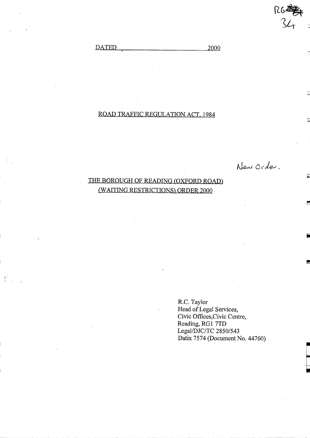DATED 2000

# ROAD TRAFFIC REGULATION ACT, <sup>1984</sup>

New Order.

# THE BOROUGH OF READING (OXFORD ROAD) (WAITING RESTRICTIONS) ORDER 2000

R.C. Taylor Head of Legal Services, Civic Offices,Civic Centre, Reading, RG1 7TD Legal/DJC/TC 2850/543 Datix 7574 (Document No . 44760)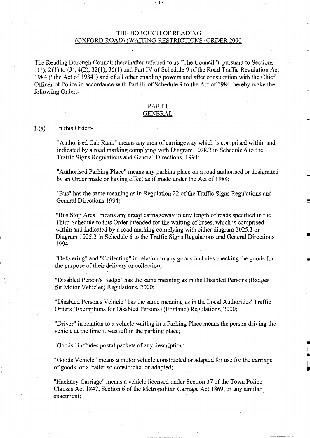# THE BOROUGH OF READING (OXFORD ROAD) (WAITING RESTRICTIONS) ORDER 2000

 $-1$   $-$ 

The Reading Borough Council (hereinafter referred to as "The Council"), pursuant to Sections  $1(1), 2(1)$  to  $(3), 4(2), 32(1), 35(1)$  and Part IV of Schedule 9 of the Road Traffic Regulation Act 1984 ("the Act of 1984") and of all other enabling powers and after consultation with the Chief Officer of Police in accordance with Part III of Schedule 9 to the Act of 1984, hereby make the following Order:-

# PART <sup>I</sup>

# GENERAL

#### In this Order:-  $1.(a)$

"Authorised Cab Rank" means any area of carriageway which is comprised within and indicated by a road marking complying with Diagram 1028.2 in Schedule 6 to the Traffic Signs Regulations and General Directions, 1994;

"Authorised Parking Place" means any parking place on a road authorised or designated by an Order made or having effect as if made under the Act of 1984;

"Bus" has the same meaning as in Regulation 22 of the Traffic Signs Regulations and General Directions 1994;

"Bus Stop Area" means any area f carriageway in any length of roads specified in the Third Schedule to this Order intended for the waiting of buses, which is comprised within and indicated by a road marking complying with either diagram 1025.1 or Diagram 1025 .2 in Schedule 6 to the Traffic Signs Regulations and General Directions 1994;

"Delivering" and "Collecting" in relation to any goods includes checking the goods for the purpose of their delivery or collection;

"Disabled Person's Badge" has the same meaning as in the Disabled Persons (Badges for Motor Vehicles) Regulations, 2000;

"Disabled Person's Vehicle" has the same meaning as in the Local Authorities' Traffic Orders (Exemptions for Disabled Persons) (England) Regulations, 2000;

"Driver" in relation to a vehicle waiting in a Parking Place means the person driving the vehicle at the time it was left in the parking place;

"Goods" includes postal packets of any description;

"Goods Vehicle" means a motor vehicle constructed or adapted for use for the carriage of goods, or a trailer so constructed or adapted;

"Hackney Carriage" means a vehicle licensed under Section 37 of the Town Police Clauses Act 1847, Section 6 of the Metropolitan Carriage Act 1869, or any similar enactment;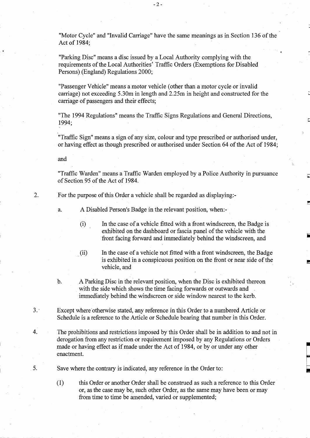"Motor Cycle" and "Invalid Carriage" have the same meanings as in Section 136 of the Act of 1984;

"Parking Disc" means a disc issued by a Local Authority complying with the requirements of the Local Authorities' Traffic Orders (Exemptions for Disabled Persons) (England) Regulations 2000;

"Passenger Vehicle" means a motor vehicle (other than a motor cycle or invalid carriage) not exceeding <sup>5</sup> .30m in length and 2.25m in height and constructed for the carriage of passengers and their effects;

"The 1994 Regulations" means the Traffic Signs Regulations and General Directions, 1994;

"Traffic Sign" means a sign of any size, colour and type prescribed or authorised under, or having effect as though prescribed or authorised under Section 64 of the Act of 1984 ;

and

"Traffic Warden" means a Traffic Warden employed by a Police Authority in pursuance of Section 95 of the Act of 1984.

Ē

2. For the purpose of this Order a vehicle shall be regarded as displaying:-

a. ADisabled Person's Badge in the relevant position, when:-

- In the case of a vehicle fitted with a front windscreen, the Badge is  $(i)$ exhibited on the dashboard or fascia panel of the vehicle with the front facing forward and immediately behind the windscreen, and
- (ii) In the case of a vehicle not fitted with a front windscreen, the Badge is exhibited in a conspicuous position on the front or near side of the vehicle, and
- b. AParking Disc in the relevant position, when the Disc is exhibited thereon with the side which shows the time facing forwards or outwards and immediately behind the windscreen or side window nearest to the kerb.
- 3. Except where otherwise stated, any reference in this Order to a numbered Article or Schedule is a reference to the Article or Schedule bearing that number in this Order.
- 4. The prohibitions and restrictions imposed by this Order shall be in addition to and not in derogation from any restriction or requirement imposed by any Regulations or Orders made or having effect as if made under the Act of 1984, or by or under any other enactment.

5 . Save where the contrary is indicated, any reference in the Order to:

 $(1)$ this Order or another Order shall be construed as such a reference to this Order or, as the case may be, such other Order, as the same may have been or may from time to time be amended, varied or supplemented;

 $-2-$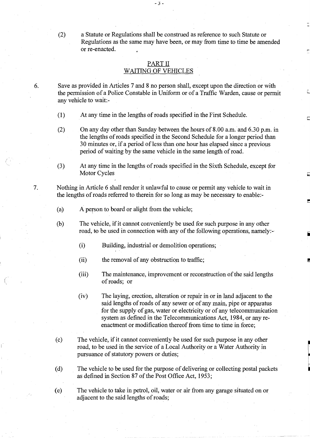(2) a Statute or Regulations shall be construed as reference to such Statute or Regulations as the same may have been, or may from time to time be amended or re-enacted.

## PART II WAITING OF VEHICLES

 $-3-$ 

6. Save as provided in Articles 7 and 8 no person shall, except upon the direction or with the permission of a Police Constable in Uniform or of a Traffic Warden, cause or permit any vehicle to wait:-

- (1) At any time in the lengths of roads specified in the First Schedule.
- (2) On any day other than Sunday between the hours of 8 .00 a.m. and 6.30 p.m . in the lengths of roads specified in the Second Schedule for a longer period than 30 minutes or, if a period of less than one hour has elapsed since a previous period of waiting by the same vehicle in the same length of road.
- $(3)$ At any time in the lengths of roads specified in the Sixth Schedule, except for Motor Cycles

 $\sqrt{2}$ 

7 . Nothing in Article 6 shall render it unlawful to cause or permit any vehicle to wait in the lengths of roads referred to therein for so long as may be necessary to enable:-

- (a) A person to board or alight from the vehicle;
- (b) The vehicle, if it cannot conveniently be used for such purpose in any other road, to be used in connection with any of the following operations, namely:-
	- $(i)$ Building, industrial or demolition operations;
	- (ii) the removal of any obstruction to traffic;
	- (iii) The maintenance, improvement or reconstruction of the said lengths of roads; or
	- (iv) The laying, erection, alteration or repair in or in land adjacent to the said lengths of roads of any sewer or of any main, pipe or apparatus for the supply of gas, water or electricity or of any telecommunication system as defined in the Telecommunications Act, 1984, or any reenactment or modification thereof from time to time in force;
- (c) The vehicle, if it cannot conveniently be used for such purpose in any other road, to be used in the service of a Local Authority or a Water Authority in pursuance of statutory powers or duties;
- (d) The vehicle to be used for the purpose of delivering or collecting postal packets as defined in Section 87 of the Post Office Act, 1953;

(e) The vehicle to take in petrol, oil, water or air from any garage situated on or adjacent to the said lengths of roads;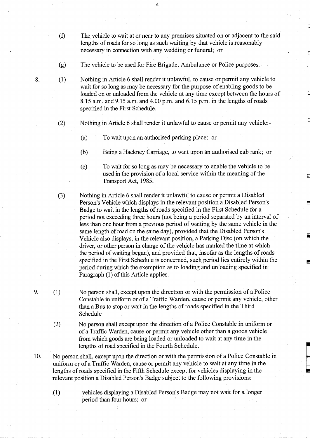- $(f)$ The vehicle to wait at or near to any premises situated on or adjacent to the said lengths of roads for so long as such waiting by that vehicle is reasonably necessary in connection with any wedding or funeral; or
- (g) The vehicle to be used for Fire Brigade, Ambulance or Police purposes.

 $-4-$ 

8. (1) Nothing in Article 6 shall render it unlawful, to cause or permit any vehicle to wait for so long as may be necessary for the purpose of enabling goods to be loaded on or unloaded from the vehicle at any time except between the hours of 8.15 a.m. and 9.15 a.m. and 4.00 p.m. and 6.15 p.m. in the lengths of roads specified in the First Schedule.

- (2) Nothing in Article 6 shall render it unlawful to cause or permit any vehicle:-
	- (a) To wait upon an authorised parking place; or
	- (b) Being a HackneyCarriage, to wait upon an authorised cab rank; or
	- (c) To wait for so long as may be necessary to enable the vehicle to be used in the provision of a local service within the meaning of the Transport Act, 1985.
- $(3)$ Nothing in Article 6 shall render it unlawful to cause or permit a Disabled Person's Vehicle which displays in the relevant position a Disabled Person's Badge to wait in the lengths of roads specified in the First Schedule for a period not exceeding three hours (not being a period separated by an interval of less than one hour from a previous period of waiting by the same vehicle in the same length of road on the same day), provided that the Disabled Person's Vehicle also displays, in the relevant position, a Parking Disc (on which the driver, or other person in charge of the vehicle has marked the time at which the period of waiting began), and provided that, insofar as the lengths of roads specified in the First Schedule is concerned, such period lies entirely within the period during which the exemption as to loading and unloading specified in Paragraph (1) of this Article applies.
- 9. (1) No person shall, except upon the direction or with the permission of a Police Constable in uniform or of a Traffic Warden, cause or permit any vehicle, other than a Bus to stop or wait in the lengths of roads specified in the Third Schedule
	- (2) No person shall except upon the direction of a Police Constable in uniform or of a Traffic Warden, cause or permit any vehicle other than a goods vehicle from which goods are being loaded or unloaded to wait at any time in the lengths of road specified in the Fourth Schedule.
- 10. No person shall, except upon the direction or with the permission of <sup>a</sup> Police Constable in uniform or of a Traffic Warden, cause or permit any vehicle to wait at any time in the lengths of roads specified in the Fifth Schedule except for vehicles displaying in the relevant position a Disabled Person's Badge subject to the following provisions :
	- $(1)$ vehicles displaying a Disabled Person's Badge may not wait for a longer period than four hours; or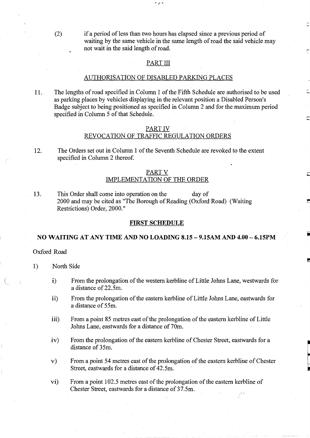(2) if a period of less than two hours has elapsed since a previous period of waiting by the same vehicle in the same length of road the said vehicle may not wait in the said length of road.

#### PART III

. ر -

#### AUTHORISATION OF DISABLED PARKING PLACES

11 . The lengths of road specified in Column <sup>1</sup> of the Fifth Schedule are authorised to be used as parking places by vehicles displaying in the relevant position a Disabled Person's Badge subject to being positioned as specified in Column 2 and for the maximum period specified in Column 5 of that Schedule.

# PART IV

# REVOCATION OF TRAFFIC REGULATION ORDERS

12. The Orders set out in Column 1 of the Seventh Schedule are revoked to the extent specified in Column 2 thereof.

# PART V IMPLEMENTATION OF THE ORDER

13. This Order shall come into operation on the day of 2000 and may be cited as "The Borough of Reading (Oxford Road) (Waiting Restrictions) Order, 2000."

## FIRST SCHEDULE

#### NO WAITING AT ANY TIME AND NO LOADING 8.15 - 9.15AM AND 4.00 - 6.15PM

Oxford Road

1) North Side

- i) From the prolongation of the western kerbline of Little Johns Lane, westwards for a distance of 22.5m.
- ii) From the prolongation of the eastern kerbline of Little Johns Lane, eastwards for a distance of 55m.
- iii) From a point 85 metres east of the prolongation of the eastern kerbline of Little Johns Lane, eastwards for a distance of 70m.
- iv) From the prolongation of the eastern kerbline of Chester Street, eastwards for a distance of 35m.
- v) From a point 54 metres east of the prolongation of the eastern kerbline of Chester Street, eastwards for a distance of 42.5m.

vi) From a point 102.5 metres east of the prolongation of the eastern kerbline of Chester Street, eastwards for a distance of 37.5m.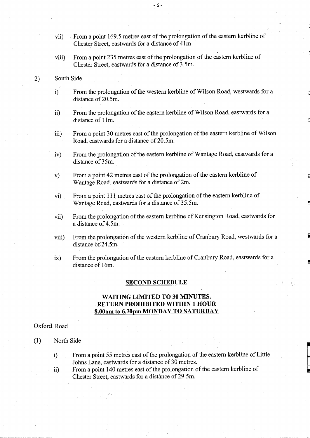- vii) From a point 169.5 metres east of the prolongation of the eastern kerbline of Chester Street, eastwards for a distance of 41m.
- viii) From a point 235 metres east of the prolongation of the eastern kerbline of Chester Street, eastwards for a distance of 3.5m.
- 2) South Side
	- i) From the prolongation of the western kerbline of Wilson Road, westwards for a distance of 20.5m.
	- ii) From the prolongation of the eastern kerbline of Wilson Road, eastwards for a distance of 11m.
	- iii) From a point 30 metres east of the prolongation of the eastern kerbline of Wilson Road, eastwards for a distance of 20.5m.
	- iv) From the prolongation of the eastern kerbline of Wantage Road, eastwards for a distance of 35m.
	- v) From a point 42 metres east of the prolongation of the eastern kerbline of Wantage Road, eastwards for a distance of 2m.
	- vi) From a point 111 metres east of the prolongation of the eastern kerbline of Wantage Road, eastwards for a distance of 35 .5m.
	- vii) From the prolongation of the eastern kerbline of Kensington Road, eastwards for a distance of 4.5m.
	- viii) From the prolongation of the western kerbline of Cranbury Road, westwards for a distance of 24.5m.
	- ix) From the prolongation of the eastern kerbline of Cranbury Road, eastwards for a distance of 16m.

#### SECOND SCHEDULE

# WAITING LIMITED TO <sup>30</sup> MINUTES. RETURN PROHIBITED WITHIN <sup>1</sup> HOUR 8.00am to 6.30pm MONDAY TO SATURDAY

### Oxford Road

- (1) North Side
	- i) From a point 55 metres east of the prolongation of the eastern kerbline of Little Johns Lane, eastwards for a distance of 30 metres.
	- ii) From a point 140 metres east of the prolongation of the eastern kerbline of Chester Street, eastwards for a distance of 29.5m.

 $-6-$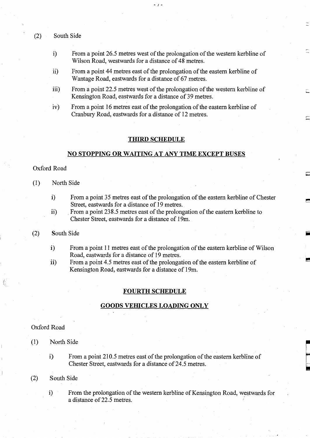- (2) South Side
	- i) From a point 26.5 metres west of the prolongation of the western kerbline of Wilson Road, westwards for a distance of 48 metres.

. . .

- ii) From a point 44 metres east of the prolongation of the eastern kerbline of Wantage Road, eastwards for a distance of 67 metres.
- iii) From a point 22.5 metres west of the prolongation of the western kerbline of Kensington Road, eastwards for a distance of 39 metres.
- iv) From a point 16 metres east of the prolongation of the eastern kerbline of Cranbury Road, eastwards for a distance of 12 metres.

#### THIRD SCHEDULE

#### NO STOPPING OR WAITING AT ANY TIME EXCEPT BUSES

## Oxford Road

- (1) North Side
	- i) From a point 35 metres east of the prolongation of the eastern kerbline of Chester Street, eastwards for a distance of 19 metres.
	- ii) From a point 238.5 metres east of the prolongation of the eastern kerbline to Chester Street, eastwards for a distance of 19m.

#### (2) South Side

- i) From a point 11 metres east of the prolongation of the eastern kerbline of Wilson Road, eastwards for a distance of 19 metres.
- ii) From a point 4.5 metres east of the prolongation of the eastern kerbline of Kensington Road, eastwards for a distance of 19m.

## **FOURTH SCHEDULE**

#### GOODS VEHICLES LOADING ONLY

#### Oxford Road

- (1) North Side
	- i) From a point 210 .5 metres east of the prolongation of the eastern kerbline of Chester Street, eastwards for a distance of 24.5 metres.

#### (2) South Side

i) From the prolongation of the western kerbline of Kensington Road, westwards for a distance of 22.5 metres.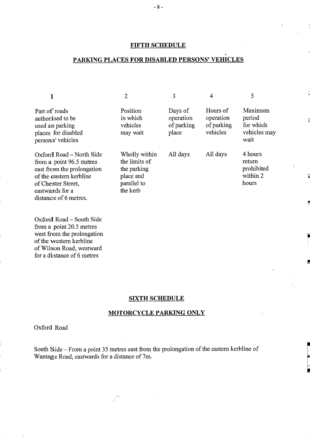# FIFTH SCHEDULE

 $-8-$ 

# PARKING PLACES FOR DISABLED PERSONS' VEHICLES

| Part of roads<br>authorised to be<br>used as parking<br>places for disabled<br>persons' vehicles                                                                                | Position<br>in which<br>vehicles<br>may wait                                          | Days of<br>operation<br>of parking<br>place | Hours of<br>operation<br>of parking<br>vehicles | Maximum<br>period<br>for which<br>vehicles may<br>wait |
|---------------------------------------------------------------------------------------------------------------------------------------------------------------------------------|---------------------------------------------------------------------------------------|---------------------------------------------|-------------------------------------------------|--------------------------------------------------------|
| Oxford Road – North Side<br>from a point 96.5 metres<br>east from the prolongation<br>of the eastern kerbline<br>of Chester Street,<br>eastwards for a<br>distance of 6 metres. | Wholly within<br>the limits of<br>the parking<br>place and<br>parallel to<br>the kerb | All days                                    | All days                                        | 4 hours<br>return<br>prohibited<br>within 2<br>hours   |

Oxford Road - South Side from a point 20.5 metres west from the prolongation of the western kerbline ofWilson Road, westward for a distance of 6 metres

## SIXTH SCHEDULE

# MOTORCYCLE PARKING ONLY

Oxford Road

South Side - From a point 35 metres east from the prolongation of the eastern kerbline of Wantage Road, eastwards for a distance of 7m.